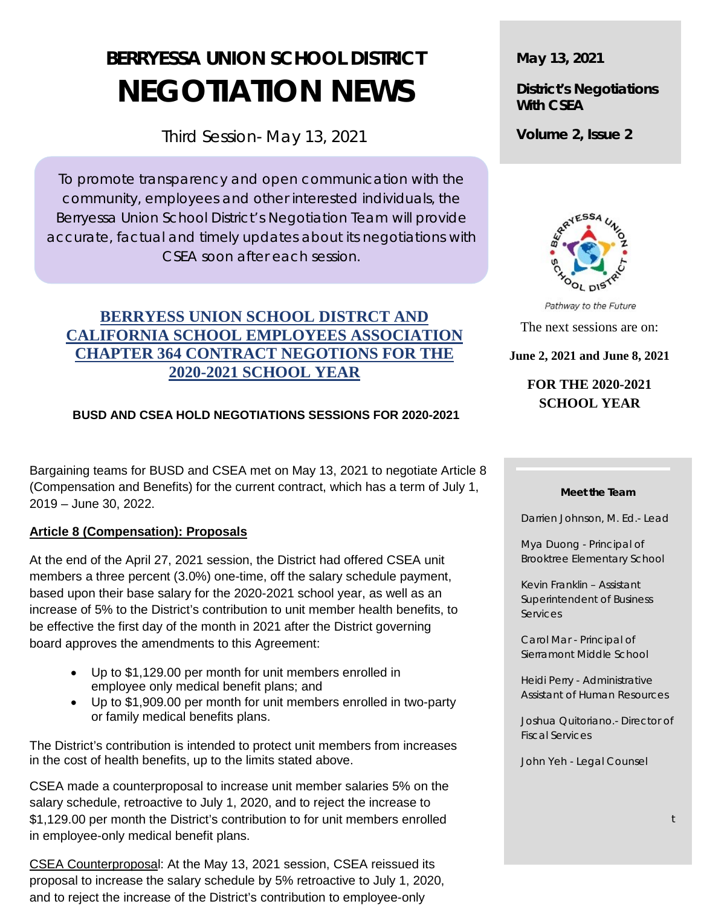# **BERRYESSA UNION SCHOOL DISTRICT NEGOTIATION NEWS**

Third Session- May 13, 2021

To promote transparency and open communication with the community, employees and other interested individuals, the Berryessa Union School District's Negotiation Team will provide accurate, factual and timely updates about its negotiations with CSEA soon after each session.

# **BERRYESS UNION SCHOOL DISTRCT AND CALIFORNIA SCHOOL EMPLOYEES ASSOCIATION CHAPTER 364 CONTRACT NEGOTIONS FOR THE 2020-2021 SCHOOL YEAR**

# **BUSD AND CSEA HOLD NEGOTIATIONS SESSIONS FOR 2020-2021**

Bargaining teams for BUSD and CSEA met on May 13, 2021 to negotiate Article 8 (Compensation and Benefits) for the current contract, which has a term of July 1, 2019 – June 30, 2022.

# **Article 8 (Compensation): Proposals**

At the end of the April 27, 2021 session, the District had offered CSEA unit members a three percent (3.0%) one-time, off the salary schedule payment, based upon their base salary for the 2020-2021 school year, as well as an increase of 5% to the District's contribution to unit member health benefits, to be effective the first day of the month in 2021 after the District governing board approves the amendments to this Agreement:

- Up to \$1,129.00 per month for unit members enrolled in employee only medical benefit plans; and
- Up to \$1,909.00 per month for unit members enrolled in two-party or family medical benefits plans.

The District's contribution is intended to protect unit members from increases in the cost of health benefits, up to the limits stated above.

CSEA made a counterproposal to increase unit member salaries 5% on the salary schedule, retroactive to July 1, 2020, and to reject the increase to \$1,129.00 per month the District's contribution to for unit members enrolled in employee-only medical benefit plans.

CSEA Counterproposal: At the May 13, 2021 session, CSEA reissued its proposal to increase the salary schedule by 5% retroactive to July 1, 2020, and to reject the increase of the District's contribution to employee-only

**May 13, 2021**

**District's Negotiations With CSEA**

**Volume 2, Issue 2**



Pathway to the Future The next sessions are on:

**June 2, 2021 and June 8, 2021**

# **FOR THE 2020-2021 SCHOOL YEAR**

#### **Meet the Team**

Darrien Johnson, M. Ed.- Lead

Mya Duong - Principal of Brooktree Elementary School

Kevin Franklin – Assistant Superintendent of Business **Services** 

Carol Mar - Principal of Sierramont Middle School

Heidi Perry - Administrative Assistant of Human Resources

Joshua Quitoriano.- Director of Fiscal Services

John Yeh - Legal Counsel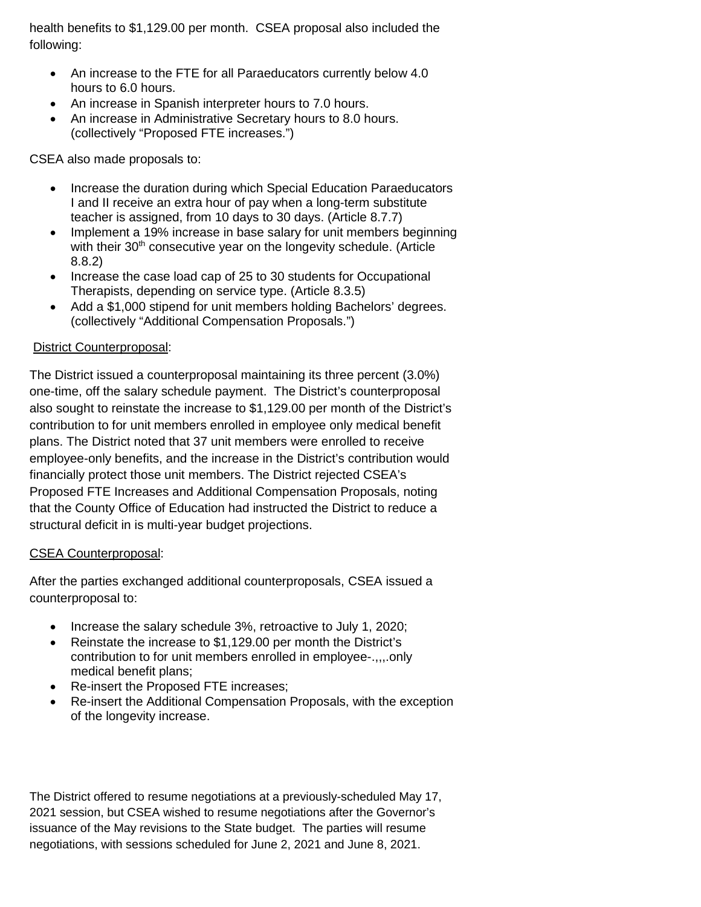health benefits to \$1,129.00 per month. CSEA proposal also included the following:

- An increase to the FTE for all Paraeducators currently below 4.0 hours to 6.0 hours.
- An increase in Spanish interpreter hours to 7.0 hours.
- An increase in Administrative Secretary hours to 8.0 hours. (collectively "Proposed FTE increases.")

CSEA also made proposals to:

- Increase the duration during which Special Education Paraeducators I and II receive an extra hour of pay when a long-term substitute teacher is assigned, from 10 days to 30 days. (Article 8.7.7)
- Implement a 19% increase in base salary for unit members beginning with their 30<sup>th</sup> consecutive year on the longevity schedule. (Article 8.8.2)
- Increase the case load cap of 25 to 30 students for Occupational Therapists, depending on service type. (Article 8.3.5)
- Add a \$1,000 stipend for unit members holding Bachelors' degrees. (collectively "Additional Compensation Proposals.")

### District Counterproposal:

The District issued a counterproposal maintaining its three percent (3.0%) one-time, off the salary schedule payment. The District's counterproposal also sought to reinstate the increase to \$1,129.00 per month of the District's contribution to for unit members enrolled in employee only medical benefit plans. The District noted that 37 unit members were enrolled to receive employee-only benefits, and the increase in the District's contribution would financially protect those unit members. The District rejected CSEA's Proposed FTE Increases and Additional Compensation Proposals, noting that the County Office of Education had instructed the District to reduce a structural deficit in is multi-year budget projections.

#### CSEA Counterproposal:

After the parties exchanged additional counterproposals, CSEA issued a counterproposal to:

- Increase the salary schedule 3%, retroactive to July 1, 2020;
- Reinstate the increase to \$1,129.00 per month the District's contribution to for unit members enrolled in employee-.,,,.only medical benefit plans;
- Re-insert the Proposed FTE increases;
- Re-insert the Additional Compensation Proposals, with the exception of the longevity increase.

The District offered to resume negotiations at a previously-scheduled May 17, 2021 session, but CSEA wished to resume negotiations after the Governor's issuance of the May revisions to the State budget. The parties will resume negotiations, with sessions scheduled for June 2, 2021 and June 8, 2021.